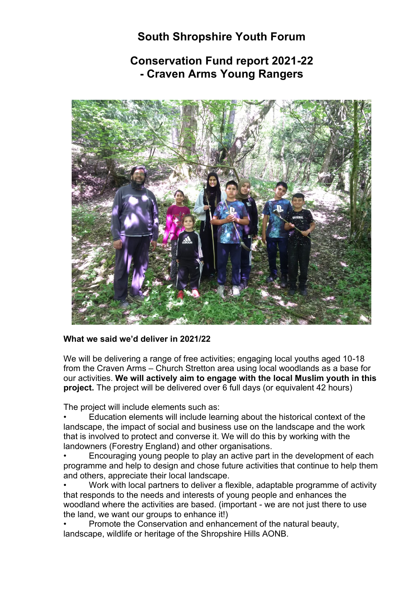# **South Shropshire Youth Forum**

# **Conservation Fund report 2021-22 - Craven Arms Young Rangers**



# **What we said we'd deliver in 2021/22**

We will be delivering a range of free activities; engaging local youths aged 10-18 from the Craven Arms – Church Stretton area using local woodlands as a base for our activities. **We will actively aim to engage with the local Muslim youth in this project.** The project will be delivered over 6 full days (or equivalent 42 hours)

The project will include elements such as:

• Education elements will include learning about the historical context of the landscape, the impact of social and business use on the landscape and the work that is involved to protect and converse it. We will do this by working with the landowners (Forestry England) and other organisations.

• Encouraging young people to play an active part in the development of each programme and help to design and chose future activities that continue to help them and others, appreciate their local landscape.

• Work with local partners to deliver a flexible, adaptable programme of activity that responds to the needs and interests of young people and enhances the woodland where the activities are based. (important - we are not just there to use the land, we want our groups to enhance it!)

• Promote the Conservation and enhancement of the natural beauty, landscape, wildlife or heritage of the Shropshire Hills AONB.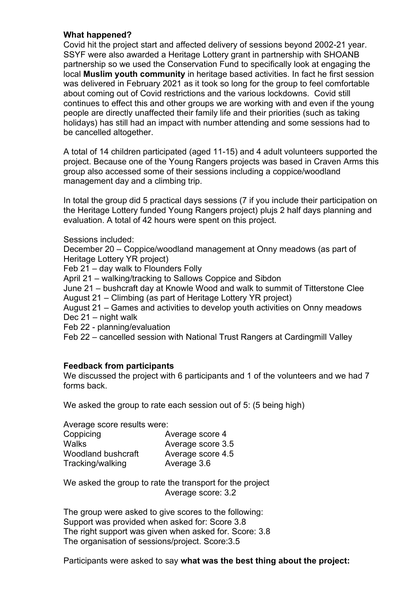# **What happened?**

Covid hit the project start and affected delivery of sessions beyond 2002-21 year. SSYF were also awarded a Heritage Lottery grant in partnership with SHOANB partnership so we used the Conservation Fund to specifically look at engaging the local **Muslim youth community** in heritage based activities. In fact he first session was delivered in February 2021 as it took so long for the group to feel comfortable about coming out of Covid restrictions and the various lockdowns. Covid still continues to effect this and other groups we are working with and even if the young people are directly unaffected their family life and their priorities (such as taking holidays) has still had an impact with number attending and some sessions had to be cancelled altogether.

A total of 14 children participated (aged 11-15) and 4 adult volunteers supported the project. Because one of the Young Rangers projects was based in Craven Arms this group also accessed some of their sessions including a coppice/woodland management day and a climbing trip.

In total the group did 5 practical days sessions (7 if you include their participation on the Heritage Lottery funded Young Rangers project) plujs 2 half days planning and evaluation. A total of 42 hours were spent on this project.

Sessions included:

December 20 – Coppice/woodland management at Onny meadows (as part of Heritage Lottery YR project)

Feb 21 – day walk to Flounders Folly

April 21 – walking/tracking to Sallows Coppice and Sibdon

June 21 – bushcraft day at Knowle Wood and walk to summit of Titterstone Clee August 21 – Climbing (as part of Heritage Lottery YR project)

August 21 – Games and activities to develop youth activities on Onny meadows Dec 21 – night walk

Feb 22 - planning/evaluation

Feb 22 – cancelled session with National Trust Rangers at Cardingmill Valley

# **Feedback from participants**

We discussed the project with 6 participants and 1 of the volunteers and we had 7 forms back.

We asked the group to rate each session out of 5: (5 being high)

| Average score results were: |                   |
|-----------------------------|-------------------|
| Coppicing                   | Average score 4   |
| <b>Walks</b>                | Average score 3.5 |
| Woodland bushcraft          | Average score 4.5 |
| Tracking/walking            | Average 3.6       |

We asked the group to rate the transport for the project Average score: 3.2

The group were asked to give scores to the following: Support was provided when asked for: Score 3.8 The right support was given when asked for. Score: 3.8 The organisation of sessions/project. Score:3.5

Participants were asked to say **what was the best thing about the project:**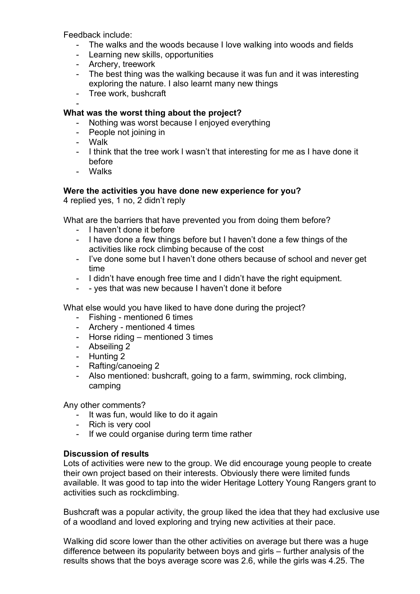Feedback include:

- The walks and the woods because I love walking into woods and fields
- Learning new skills, opportunities
- Archery, treework
- The best thing was the walking because it was fun and it was interesting exploring the nature. I also learnt many new things
- Tree work, bushcraft

#### - **What was the worst thing about the project?**

- Nothing was worst because I enjoyed everything
- People not joining in
- Walk
- I think that the tree work l wasn't that interesting for me as I have done it before
- Walks

# **Were the activities you have done new experience for you?**

4 replied yes, 1 no, 2 didn't reply

What are the barriers that have prevented you from doing them before?

- I haven't done it before
- I have done a few things before but I haven't done a few things of the activities like rock climbing because of the cost
- I've done some but I haven't done others because of school and never get time
- I didn't have enough free time and I didn't have the right equipment.
- - yes that was new because I haven't done it before

What else would you have liked to have done during the project?

- Fishing mentioned 6 times
- Archery mentioned 4 times
- Horse riding mentioned 3 times
- Abseiling 2
- Hunting 2
- Rafting/canoeing 2
- Also mentioned: bushcraft, going to a farm, swimming, rock climbing, camping

Any other comments?

- It was fun, would like to do it again
- Rich is very cool
- If we could organise during term time rather

# **Discussion of results**

Lots of activities were new to the group. We did encourage young people to create their own project based on their interests. Obviously there were limited funds available. It was good to tap into the wider Heritage Lottery Young Rangers grant to activities such as rockclimbing.

Bushcraft was a popular activity, the group liked the idea that they had exclusive use of a woodland and loved exploring and trying new activities at their pace.

Walking did score lower than the other activities on average but there was a huge difference between its popularity between boys and girls – further analysis of the results shows that the boys average score was 2.6, while the girls was 4.25. The